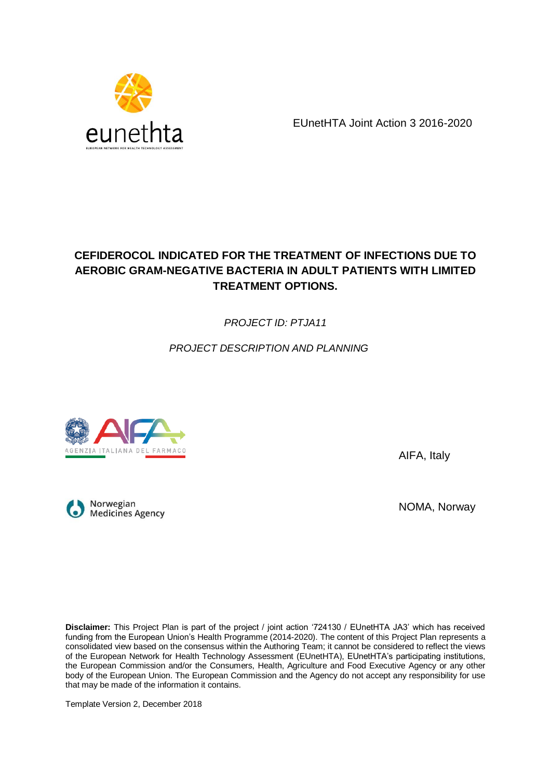

EUnetHTA Joint Action 3 2016-2020

# **CEFIDEROCOL INDICATED FOR THE TREATMENT OF INFECTIONS DUE TO AEROBIC GRAM-NEGATIVE BACTERIA IN ADULT PATIENTS WITH LIMITED TREATMENT OPTIONS.**

*PROJECT ID: PTJA11*

*PROJECT DESCRIPTION AND PLANNING*



AIFA, Italy

Norwegian **Medicines Agency** 

NOMA, Norway

**Disclaimer:** This Project Plan is part of the project / joint action '724130 / EUnetHTA JA3' which has received funding from the European Union's Health Programme (2014-2020). The content of this Project Plan represents a consolidated view based on the consensus within the Authoring Team; it cannot be considered to reflect the views of the European Network for Health Technology Assessment (EUnetHTA), EUnetHTA's participating institutions, the European Commission and/or the Consumers, Health, Agriculture and Food Executive Agency or any other body of the European Union. The European Commission and the Agency do not accept any responsibility for use that may be made of the information it contains.

Template Version 2, December 2018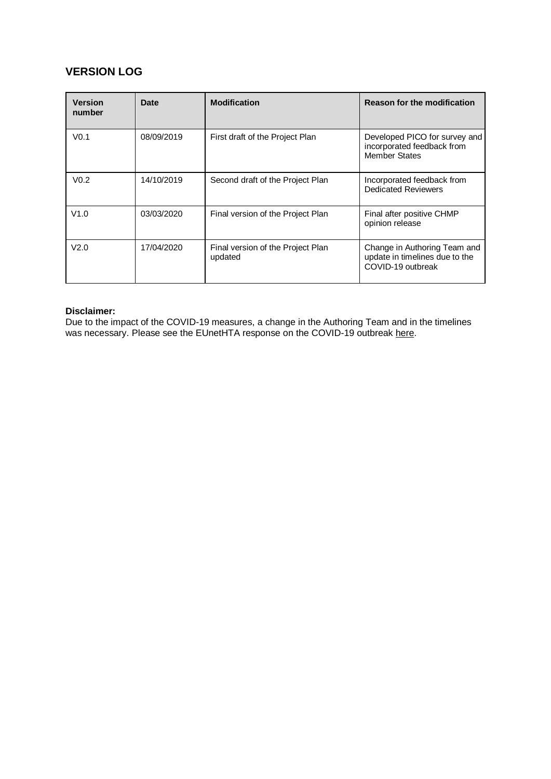## **VERSION LOG**

| <b>Version</b><br>number | <b>Date</b> | <b>Modification</b>                          | <b>Reason for the modification</b>                                                  |  |
|--------------------------|-------------|----------------------------------------------|-------------------------------------------------------------------------------------|--|
| V <sub>0.1</sub>         | 08/09/2019  | First draft of the Project Plan              | Developed PICO for survey and<br>incorporated feedback from<br><b>Member States</b> |  |
| V <sub>0.2</sub>         | 14/10/2019  | Second draft of the Project Plan             | Incorporated feedback from<br><b>Dedicated Reviewers</b>                            |  |
| V1.0                     | 03/03/2020  | Final version of the Project Plan            | Final after positive CHMP<br>opinion release                                        |  |
| V2.0                     | 17/04/2020  | Final version of the Project Plan<br>updated | Change in Authoring Team and<br>update in timelines due to the<br>COVID-19 outbreak |  |

#### **Disclaimer:**

Due to the impact of the COVID-19 measures, a change in the Authoring Team and in the timelines was necessary. Please see the EUnetHTA response on the COVID-19 outbreak [here.](https://eunethta.eu/eunethta-response-to-covid-19/)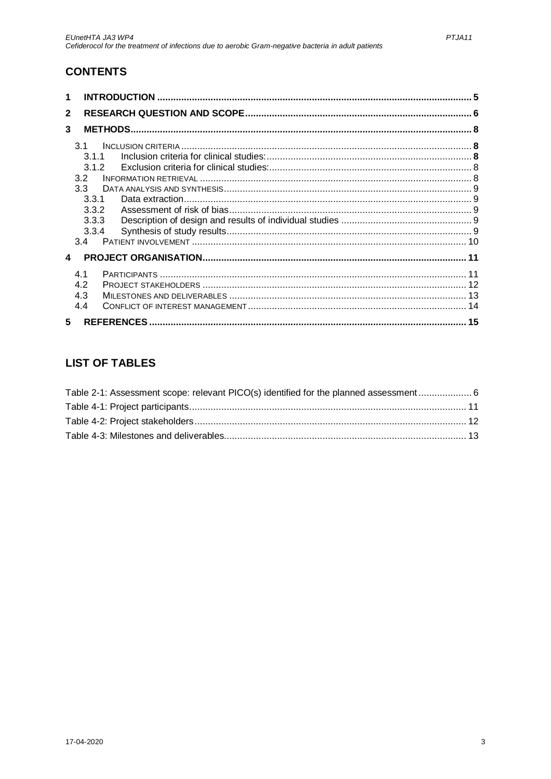# **CONTENTS**

| 1                                                                                        |    |  |
|------------------------------------------------------------------------------------------|----|--|
| $\mathbf{2}$                                                                             |    |  |
| 3                                                                                        |    |  |
| 3.1<br>3.1.1<br>312<br>3.2<br>3.3 <sub>1</sub><br>3.3.1<br>3.3.2<br>3.3.3<br>3.3.4<br>34 |    |  |
| $\boldsymbol{\Lambda}$                                                                   |    |  |
| 41<br>4.2<br>4.3<br>4.4                                                                  |    |  |
| 5                                                                                        | 15 |  |

# **LIST OF TABLES**

| Table 2-1: Assessment scope: relevant PICO(s) identified for the planned assessment  6 |  |
|----------------------------------------------------------------------------------------|--|
|                                                                                        |  |
|                                                                                        |  |
|                                                                                        |  |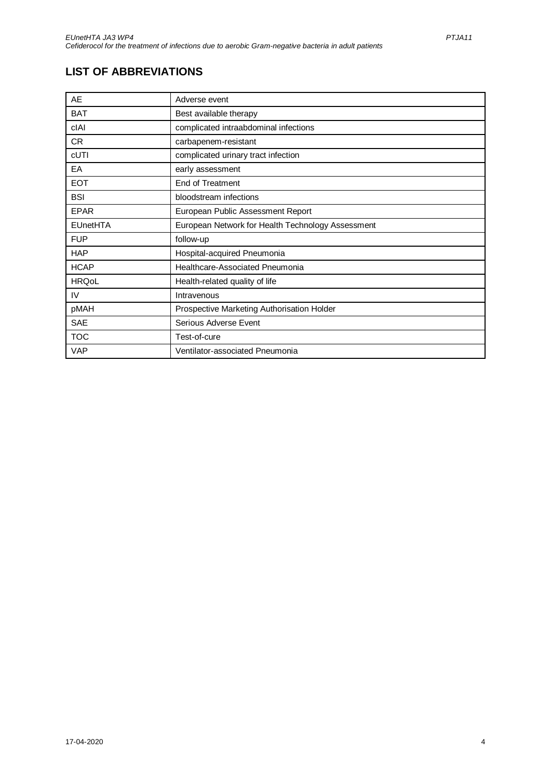# **LIST OF ABBREVIATIONS**

| AE              | Adverse event                                     |
|-----------------|---------------------------------------------------|
| <b>BAT</b>      | Best available therapy                            |
| cIAI            | complicated intraabdominal infections             |
| CR              | carbapenem-resistant                              |
| cUTI            | complicated urinary tract infection               |
| EA              | early assessment                                  |
| <b>EOT</b>      | End of Treatment                                  |
| <b>BSI</b>      | bloodstream infections                            |
| <b>EPAR</b>     | European Public Assessment Report                 |
| <b>EUnetHTA</b> | European Network for Health Technology Assessment |
| <b>FUP</b>      | follow-up                                         |
| <b>HAP</b>      | Hospital-acquired Pneumonia                       |
| <b>HCAP</b>     | Healthcare-Associated Pneumonia                   |
| <b>HRQoL</b>    | Health-related quality of life                    |
| IV              | Intravenous                                       |
| pMAH            | Prospective Marketing Authorisation Holder        |
| <b>SAE</b>      | Serious Adverse Event                             |
| <b>TOC</b>      | Test-of-cure                                      |
| <b>VAP</b>      | Ventilator-associated Pneumonia                   |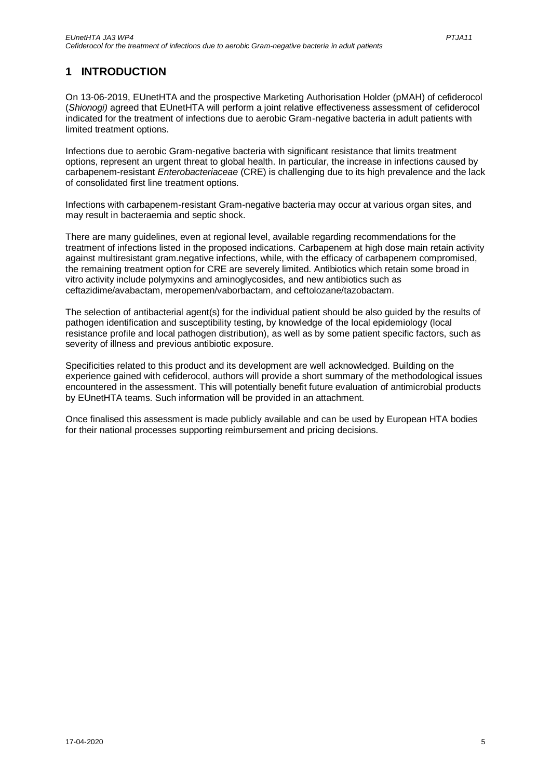## <span id="page-4-0"></span>**1 INTRODUCTION**

On 13-06-2019, EUnetHTA and the prospective Marketing Authorisation Holder (pMAH) of cefiderocol (*Shionogi)* agreed that EUnetHTA will perform a joint relative effectiveness assessment of cefiderocol indicated for the treatment of infections due to aerobic Gram-negative bacteria in adult patients with limited treatment options.

Infections due to aerobic Gram-negative bacteria with significant resistance that limits treatment options, represent an urgent threat to global health. In particular, the increase in infections caused by carbapenem-resistant *Enterobacteriaceae* (CRE) is challenging due to its high prevalence and the lack of consolidated first line treatment options.

Infections with carbapenem-resistant Gram-negative bacteria may occur at various organ sites, and may result in bacteraemia and septic shock.

There are many guidelines, even at regional level, available regarding recommendations for the treatment of infections listed in the proposed indications. Carbapenem at high dose main retain activity against multiresistant gram.negative infections, while, with the efficacy of carbapenem compromised, the remaining treatment option for CRE are severely limited. Antibiotics which retain some broad in vitro activity include polymyxins and aminoglycosides, and new antibiotics such as ceftazidime/avabactam, meropemen/vaborbactam, and ceftolozane/tazobactam.

The selection of antibacterial agent(s) for the individual patient should be also guided by the results of pathogen identification and susceptibility testing, by knowledge of the local epidemiology (local resistance profile and local pathogen distribution), as well as by some patient specific factors, such as severity of illness and previous antibiotic exposure.

Specificities related to this product and its development are well acknowledged. Building on the experience gained with cefiderocol, authors will provide a short summary of the methodological issues encountered in the assessment. This will potentially benefit future evaluation of antimicrobial products by EUnetHTA teams. Such information will be provided in an attachment.

Once finalised this assessment is made publicly available and can be used by European HTA bodies for their national processes supporting reimbursement and pricing decisions.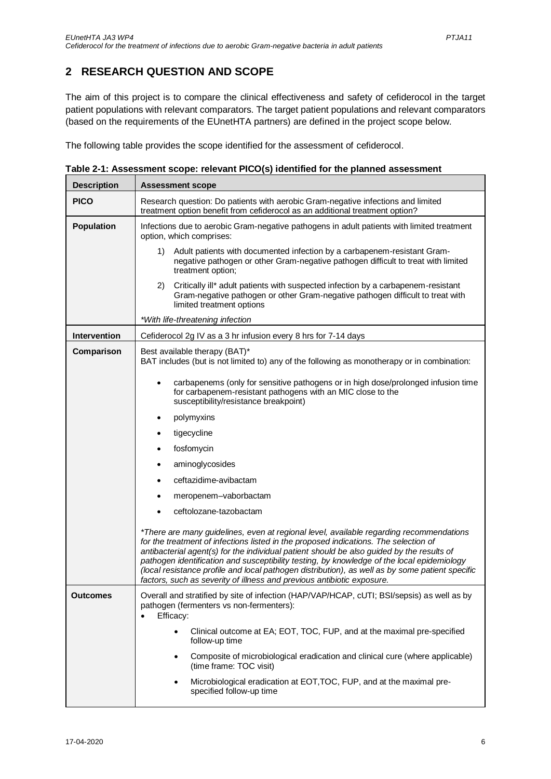# <span id="page-5-0"></span>**2 RESEARCH QUESTION AND SCOPE**

The aim of this project is to compare the clinical effectiveness and safety of cefiderocol in the target patient populations with relevant comparators. The target patient populations and relevant comparators (based on the requirements of the EUnetHTA partners) are defined in the project scope below.

The following table provides the scope identified for the assessment of cefiderocol.

<span id="page-5-1"></span>

| Table 2-1: Assessment scope: relevant PICO(s) identified for the planned assessment |  |  |
|-------------------------------------------------------------------------------------|--|--|
|                                                                                     |  |  |

| <b>Description</b>  | <b>Assessment scope</b>                                                                                                                                                                                                                                                                                                                                                                                                                                                                                                                                 |  |  |  |
|---------------------|---------------------------------------------------------------------------------------------------------------------------------------------------------------------------------------------------------------------------------------------------------------------------------------------------------------------------------------------------------------------------------------------------------------------------------------------------------------------------------------------------------------------------------------------------------|--|--|--|
| <b>PICO</b>         | Research question: Do patients with aerobic Gram-negative infections and limited<br>treatment option benefit from cefiderocol as an additional treatment option?                                                                                                                                                                                                                                                                                                                                                                                        |  |  |  |
| Population          | Infections due to aerobic Gram-negative pathogens in adult patients with limited treatment<br>option, which comprises:                                                                                                                                                                                                                                                                                                                                                                                                                                  |  |  |  |
|                     | Adult patients with documented infection by a carbapenem-resistant Gram-<br>1)<br>negative pathogen or other Gram-negative pathogen difficult to treat with limited<br>treatment option;                                                                                                                                                                                                                                                                                                                                                                |  |  |  |
|                     | Critically ill* adult patients with suspected infection by a carbapenem-resistant<br>2).<br>Gram-negative pathogen or other Gram-negative pathogen difficult to treat with<br>limited treatment options                                                                                                                                                                                                                                                                                                                                                 |  |  |  |
|                     | *With life-threatening infection                                                                                                                                                                                                                                                                                                                                                                                                                                                                                                                        |  |  |  |
| <b>Intervention</b> | Cefiderocol 2g IV as a 3 hr infusion every 8 hrs for 7-14 days                                                                                                                                                                                                                                                                                                                                                                                                                                                                                          |  |  |  |
| Comparison          | Best available therapy (BAT)*<br>BAT includes (but is not limited to) any of the following as monotherapy or in combination:                                                                                                                                                                                                                                                                                                                                                                                                                            |  |  |  |
|                     | carbapenems (only for sensitive pathogens or in high dose/prolonged infusion time<br>٠<br>for carbapenem-resistant pathogens with an MIC close to the<br>susceptibility/resistance breakpoint)                                                                                                                                                                                                                                                                                                                                                          |  |  |  |
|                     | polymyxins                                                                                                                                                                                                                                                                                                                                                                                                                                                                                                                                              |  |  |  |
|                     | tigecycline                                                                                                                                                                                                                                                                                                                                                                                                                                                                                                                                             |  |  |  |
|                     | fosfomycin                                                                                                                                                                                                                                                                                                                                                                                                                                                                                                                                              |  |  |  |
|                     | aminoglycosides                                                                                                                                                                                                                                                                                                                                                                                                                                                                                                                                         |  |  |  |
|                     | ceftazidime-avibactam                                                                                                                                                                                                                                                                                                                                                                                                                                                                                                                                   |  |  |  |
|                     | meropenem-vaborbactam                                                                                                                                                                                                                                                                                                                                                                                                                                                                                                                                   |  |  |  |
|                     | ceftolozane-tazobactam                                                                                                                                                                                                                                                                                                                                                                                                                                                                                                                                  |  |  |  |
|                     | *There are many guidelines, even at regional level, available regarding recommendations<br>for the treatment of infections listed in the proposed indications. The selection of<br>antibacterial agent(s) for the individual patient should be also guided by the results of<br>pathogen identification and susceptibility testing, by knowledge of the local epidemiology<br>(local resistance profile and local pathogen distribution), as well as by some patient specific<br>factors, such as severity of illness and previous antibiotic exposure. |  |  |  |
| Outcomes            | Overall and stratified by site of infection (HAP/VAP/HCAP, cUTI; BSI/sepsis) as well as by<br>pathogen (fermenters vs non-fermenters):<br>Efficacy:                                                                                                                                                                                                                                                                                                                                                                                                     |  |  |  |
|                     | Clinical outcome at EA; EOT, TOC, FUP, and at the maximal pre-specified<br>$\bullet$<br>follow-up time                                                                                                                                                                                                                                                                                                                                                                                                                                                  |  |  |  |
|                     | Composite of microbiological eradication and clinical cure (where applicable)<br>$\bullet$<br>(time frame: TOC visit)                                                                                                                                                                                                                                                                                                                                                                                                                                   |  |  |  |
|                     | Microbiological eradication at EOT, TOC, FUP, and at the maximal pre-<br>٠<br>specified follow-up time                                                                                                                                                                                                                                                                                                                                                                                                                                                  |  |  |  |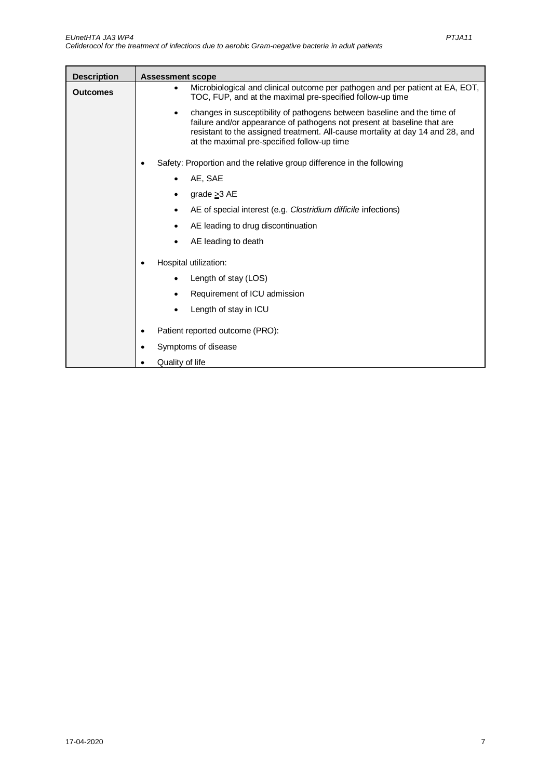| <b>Description</b> | <b>Assessment scope</b>                                                                                                                                                                                                                                                                          |
|--------------------|--------------------------------------------------------------------------------------------------------------------------------------------------------------------------------------------------------------------------------------------------------------------------------------------------|
| <b>Outcomes</b>    | Microbiological and clinical outcome per pathogen and per patient at EA, EOT,<br>TOC, FUP, and at the maximal pre-specified follow-up time                                                                                                                                                       |
|                    | changes in susceptibility of pathogens between baseline and the time of<br>$\bullet$<br>failure and/or appearance of pathogens not present at baseline that are<br>resistant to the assigned treatment. All-cause mortality at day 14 and 28, and<br>at the maximal pre-specified follow-up time |
|                    | Safety: Proportion and the relative group difference in the following                                                                                                                                                                                                                            |
|                    | AE, SAE<br>$\bullet$                                                                                                                                                                                                                                                                             |
|                    | grade $\geq$ 3 AE                                                                                                                                                                                                                                                                                |
|                    | AE of special interest (e.g. Clostridium difficile infections)                                                                                                                                                                                                                                   |
|                    | AE leading to drug discontinuation                                                                                                                                                                                                                                                               |
|                    | AE leading to death                                                                                                                                                                                                                                                                              |
|                    | Hospital utilization:                                                                                                                                                                                                                                                                            |
|                    | Length of stay (LOS)                                                                                                                                                                                                                                                                             |
|                    | Requirement of ICU admission                                                                                                                                                                                                                                                                     |
|                    | Length of stay in ICU                                                                                                                                                                                                                                                                            |
|                    | Patient reported outcome (PRO):                                                                                                                                                                                                                                                                  |
|                    | Symptoms of disease                                                                                                                                                                                                                                                                              |
|                    | Quality of life                                                                                                                                                                                                                                                                                  |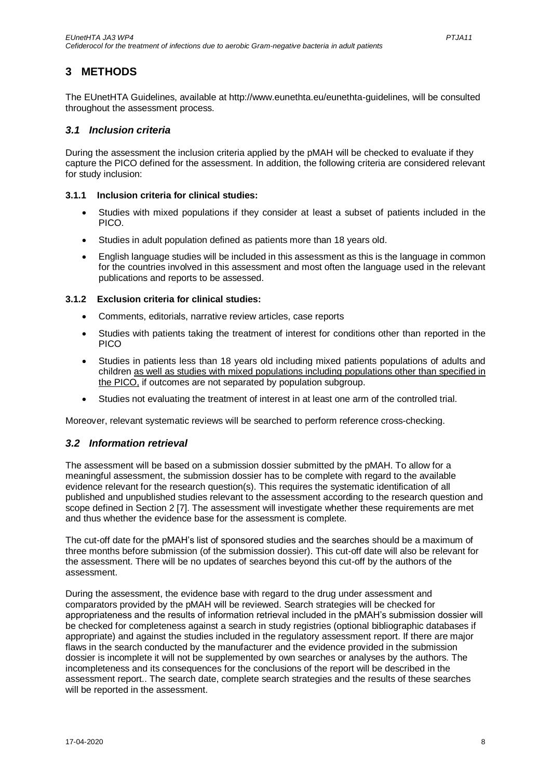## <span id="page-7-0"></span>**3 METHODS**

The EUnetHTA Guidelines, available at http://www.eunethta.eu/eunethta-guidelines, will be consulted throughout the assessment process.

#### <span id="page-7-1"></span>*3.1 Inclusion criteria*

During the assessment the inclusion criteria applied by the pMAH will be checked to evaluate if they capture the PICO defined for the assessment. In addition, the following criteria are considered relevant for study inclusion:

#### <span id="page-7-2"></span>**3.1.1 Inclusion criteria for clinical studies:**

- Studies with mixed populations if they consider at least a subset of patients included in the PICO.
- Studies in adult population defined as patients more than 18 years old.
- English language studies will be included in this assessment as this is the language in common for the countries involved in this assessment and most often the language used in the relevant publications and reports to be assessed.

#### <span id="page-7-3"></span>**3.1.2 Exclusion criteria for clinical studies:**

- Comments, editorials, narrative review articles, case reports
- Studies with patients taking the treatment of interest for conditions other than reported in the PICO
- Studies in patients less than 18 years old including mixed patients populations of adults and children as well as studies with mixed populations including populations other than specified in the PICO, if outcomes are not separated by population subgroup.
- Studies not evaluating the treatment of interest in at least one arm of the controlled trial.

Moreover, relevant systematic reviews will be searched to perform reference cross-checking.

#### <span id="page-7-4"></span>*3.2 Information retrieval*

The assessment will be based on a submission dossier submitted by the pMAH. To allow for a meaningful assessment, the submission dossier has to be complete with regard to the available evidence relevant for the research question(s). This requires the systematic identification of all published and unpublished studies relevant to the assessment according to the research question and scope defined in Sectio[n 2](#page-5-0) [7]. The assessment will investigate whether these requirements are met and thus whether the evidence base for the assessment is complete.

The cut-off date for the pMAH's list of sponsored studies and the searches should be a maximum of three months before submission (of the submission dossier). This cut-off date will also be relevant for the assessment. There will be no updates of searches beyond this cut-off by the authors of the assessment.

During the assessment, the evidence base with regard to the drug under assessment and comparators provided by the pMAH will be reviewed. Search strategies will be checked for appropriateness and the results of information retrieval included in the pMAH's submission dossier will be checked for completeness against a search in study registries (optional bibliographic databases if appropriate) and against the studies included in the regulatory assessment report. If there are major flaws in the search conducted by the manufacturer and the evidence provided in the submission dossier is incomplete it will not be supplemented by own searches or analyses by the authors. The incompleteness and its consequences for the conclusions of the report will be described in the assessment report.. The search date, complete search strategies and the results of these searches will be reported in the assessment.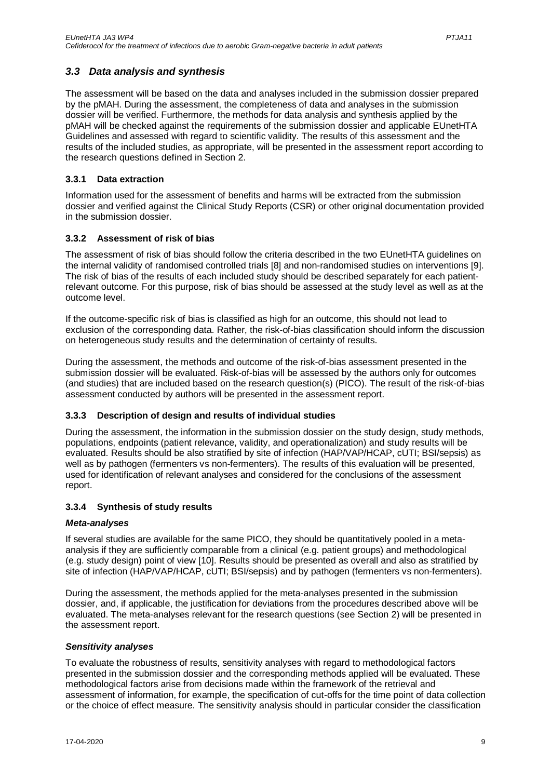### <span id="page-8-0"></span>*3.3 Data analysis and synthesis*

The assessment will be based on the data and analyses included in the submission dossier prepared by the pMAH. During the assessment, the completeness of data and analyses in the submission dossier will be verified. Furthermore, the methods for data analysis and synthesis applied by the pMAH will be checked against the requirements of the submission dossier and applicable EUnetHTA Guidelines and assessed with regard to scientific validity. The results of this assessment and the results of the included studies, as appropriate, will be presented in the assessment report according to the research questions defined in Section [2.](#page-5-0)

#### <span id="page-8-1"></span>**3.3.1 Data extraction**

Information used for the assessment of benefits and harms will be extracted from the submission dossier and verified against the Clinical Study Reports (CSR) or other original documentation provided in the submission dossier.

#### <span id="page-8-2"></span>**3.3.2 Assessment of risk of bias**

The assessment of risk of bias should follow the criteria described in the two EUnetHTA guidelines on the internal validity of randomised controlled trials [8] and non-randomised studies on interventions [9]. The risk of bias of the results of each included study should be described separately for each patientrelevant outcome. For this purpose, risk of bias should be assessed at the study level as well as at the outcome level.

If the outcome-specific risk of bias is classified as high for an outcome, this should not lead to exclusion of the corresponding data. Rather, the risk-of-bias classification should inform the discussion on heterogeneous study results and the determination of certainty of results.

During the assessment, the methods and outcome of the risk-of-bias assessment presented in the submission dossier will be evaluated. Risk-of-bias will be assessed by the authors only for outcomes (and studies) that are included based on the research question(s) (PICO). The result of the risk-of-bias assessment conducted by authors will be presented in the assessment report.

#### <span id="page-8-3"></span>**3.3.3 Description of design and results of individual studies**

During the assessment, the information in the submission dossier on the study design, study methods, populations, endpoints (patient relevance, validity, and operationalization) and study results will be evaluated. Results should be also stratified by site of infection (HAP/VAP/HCAP, cUTI; BSI/sepsis) as well as by pathogen (fermenters vs non-fermenters). The results of this evaluation will be presented, used for identification of relevant analyses and considered for the conclusions of the assessment report.

#### <span id="page-8-4"></span>**3.3.4 Synthesis of study results**

#### *Meta-analyses*

If several studies are available for the same PICO, they should be quantitatively pooled in a metaanalysis if they are sufficiently comparable from a clinical (e.g. patient groups) and methodological (e.g. study design) point of view [10]. Results should be presented as overall and also as stratified by site of infection (HAP/VAP/HCAP, cUTI; BSI/sepsis) and by pathogen (fermenters vs non-fermenters).

During the assessment, the methods applied for the meta-analyses presented in the submission dossier, and, if applicable, the justification for deviations from the procedures described above will be evaluated. The meta-analyses relevant for the research questions (see Section [2\)](#page-5-0) will be presented in the assessment report.

#### *Sensitivity analyses*

To evaluate the robustness of results, sensitivity analyses with regard to methodological factors presented in the submission dossier and the corresponding methods applied will be evaluated. These methodological factors arise from decisions made within the framework of the retrieval and assessment of information, for example, the specification of cut-offs for the time point of data collection or the choice of effect measure. The sensitivity analysis should in particular consider the classification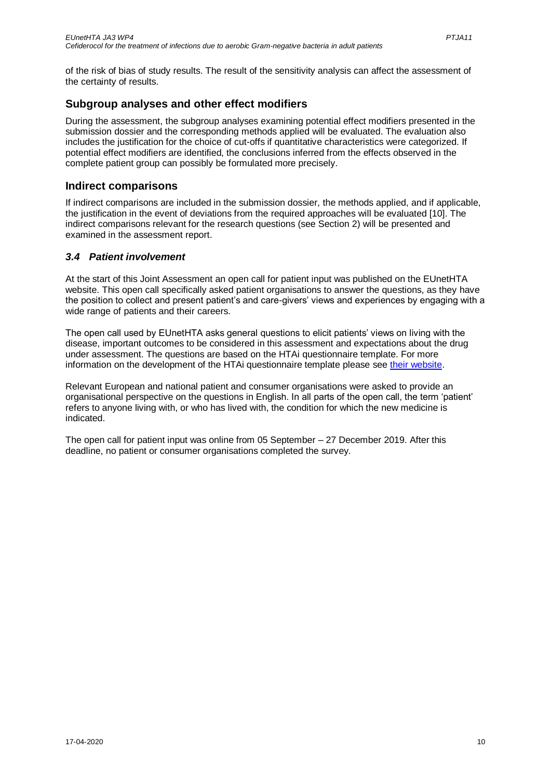of the risk of bias of study results. The result of the sensitivity analysis can affect the assessment of the certainty of results.

## **Subgroup analyses and other effect modifiers**

During the assessment, the subgroup analyses examining potential effect modifiers presented in the submission dossier and the corresponding methods applied will be evaluated. The evaluation also includes the justification for the choice of cut-offs if quantitative characteristics were categorized. If potential effect modifiers are identified, the conclusions inferred from the effects observed in the complete patient group can possibly be formulated more precisely.

### **Indirect comparisons**

If indirect comparisons are included in the submission dossier, the methods applied, and if applicable, the justification in the event of deviations from the required approaches will be evaluated [10]. The indirect comparisons relevant for the research questions (see Section [2\)](#page-5-0) will be presented and examined in the assessment report.

### <span id="page-9-0"></span>*3.4 Patient involvement*

At the start of this Joint Assessment an open call for patient input was published on the EUnetHTA website. This open call specifically asked patient organisations to answer the questions, as they have the position to collect and present patient's and care-givers' views and experiences by engaging with a wide range of patients and their careers.

The open call used by EUnetHTA asks general questions to elicit patients' views on living with the disease, important outcomes to be considered in this assessment and expectations about the drug under assessment. The questions are based on the HTAi questionnaire template. For more information on the development of the HTAi questionnaire template please see [their website.](https://htai.org/interest-groups/pcig/resources/for-patients-and-patient-groups/)

Relevant European and national patient and consumer organisations were asked to provide an organisational perspective on the questions in English. In all parts of the open call, the term 'patient' refers to anyone living with, or who has lived with, the condition for which the new medicine is indicated.

The open call for patient input was online from 05 September – 27 December 2019. After this deadline, no patient or consumer organisations completed the survey.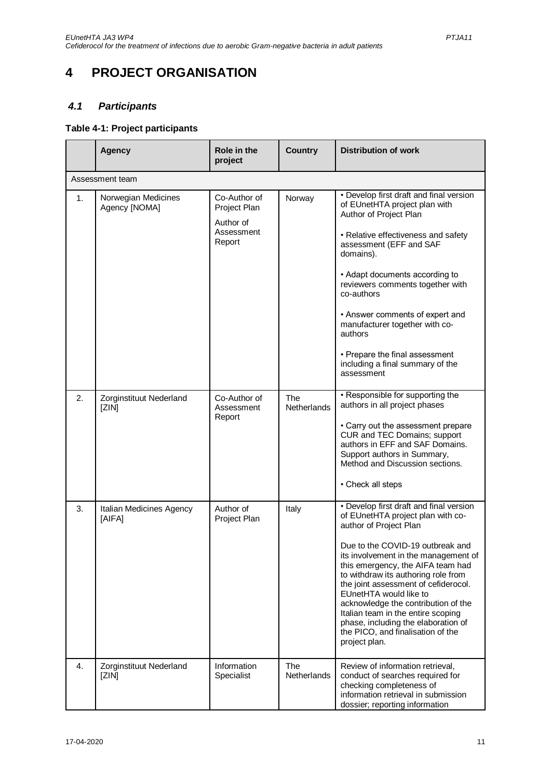# <span id="page-10-0"></span>**4 PROJECT ORGANISATION**

### <span id="page-10-1"></span>*4.1 Participants*

### <span id="page-10-2"></span>**Table 4-1: Project participants**

|    | <b>Agency</b>                        | Role in the<br>project                                            | <b>Country</b>            | <b>Distribution of work</b>                                                                                                                                                                                                                                                                                                                                                                                                                                                                                |  |  |
|----|--------------------------------------|-------------------------------------------------------------------|---------------------------|------------------------------------------------------------------------------------------------------------------------------------------------------------------------------------------------------------------------------------------------------------------------------------------------------------------------------------------------------------------------------------------------------------------------------------------------------------------------------------------------------------|--|--|
|    | Assessment team                      |                                                                   |                           |                                                                                                                                                                                                                                                                                                                                                                                                                                                                                                            |  |  |
| 1. | Norwegian Medicines<br>Agency [NOMA] | Co-Author of<br>Project Plan<br>Author of<br>Assessment<br>Report | Norway                    | • Develop first draft and final version<br>of EUnetHTA project plan with<br>Author of Project Plan<br>• Relative effectiveness and safety<br>assessment (EFF and SAF<br>domains).<br>• Adapt documents according to<br>reviewers comments together with<br>co-authors<br>• Answer comments of expert and<br>manufacturer together with co-<br>authors<br>• Prepare the final assessment<br>including a final summary of the<br>assessment                                                                  |  |  |
| 2. | Zorginstituut Nederland<br>[ZIN]     | Co-Author of<br>Assessment<br>Report                              | <b>The</b><br>Netherlands | • Responsible for supporting the<br>authors in all project phases<br>• Carry out the assessment prepare<br>CUR and TEC Domains; support<br>authors in EFF and SAF Domains.<br>Support authors in Summary,<br>Method and Discussion sections.<br>• Check all steps                                                                                                                                                                                                                                          |  |  |
| 3. | Italian Medicines Agency<br>[AIFA]   | Author of<br>Project Plan                                         | Italy                     | • Develop first draft and final version<br>of EUnetHTA project plan with co-<br>author of Project Plan<br>Due to the COVID-19 outbreak and<br>its involvement in the management of<br>this emergency, the AIFA team had<br>to withdraw its authoring role from<br>the joint assessment of cefiderocol.<br>EUnetHTA would like to<br>acknowledge the contribution of the<br>Italian team in the entire scoping<br>phase, including the elaboration of<br>the PICO, and finalisation of the<br>project plan. |  |  |
| 4. | Zorginstituut Nederland<br>[ZIN]     | Information<br>Specialist                                         | <b>The</b><br>Netherlands | Review of information retrieval,<br>conduct of searches required for<br>checking completeness of<br>information retrieval in submission<br>dossier; reporting information                                                                                                                                                                                                                                                                                                                                  |  |  |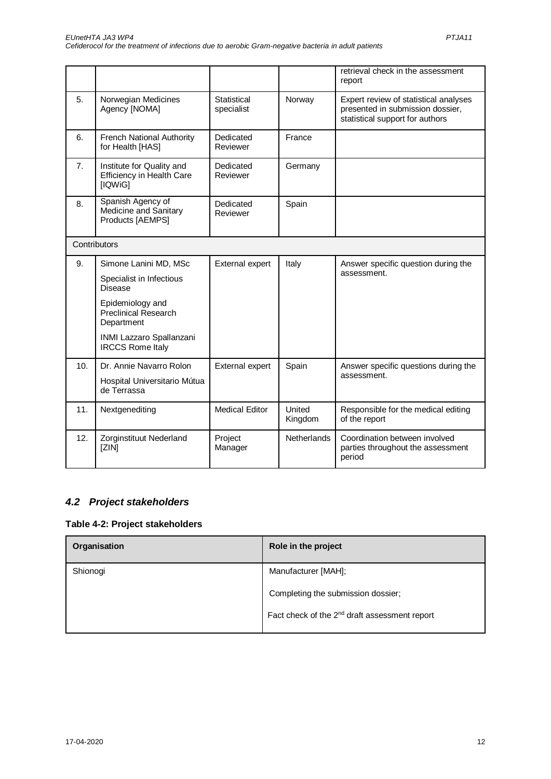|     |                                                                          |                                  |                   | retrieval check in the assessment<br>report                                                                  |
|-----|--------------------------------------------------------------------------|----------------------------------|-------------------|--------------------------------------------------------------------------------------------------------------|
| 5.  | Norwegian Medicines<br>Agency [NOMA]                                     | <b>Statistical</b><br>specialist | Norway            | Expert review of statistical analyses<br>presented in submission dossier,<br>statistical support for authors |
| 6.  | French National Authority<br>for Health [HAS]                            | Dedicated<br>Reviewer            | France            |                                                                                                              |
| 7.  | Institute for Quality and<br><b>Efficiency in Health Care</b><br>[IQWiG] | Dedicated<br>Reviewer            | Germany           |                                                                                                              |
| 8.  | Spanish Agency of<br>Medicine and Sanitary<br>Products [AEMPS]           | Dedicated<br>Reviewer            | Spain             |                                                                                                              |
|     | Contributors                                                             |                                  |                   |                                                                                                              |
| 9.  | Simone Lanini MD, MSc                                                    | External expert                  | Italy             | Answer specific question during the                                                                          |
|     | Specialist in Infectious<br><b>Disease</b>                               |                                  |                   | assessment.                                                                                                  |
|     | Epidemiology and<br><b>Preclinical Research</b><br>Department            |                                  |                   |                                                                                                              |
|     | INMI Lazzaro Spallanzani<br><b>IRCCS Rome Italy</b>                      |                                  |                   |                                                                                                              |
| 10. | Dr. Annie Navarro Rolon                                                  | External expert                  | Spain             | Answer specific questions during the<br>assessment.                                                          |
|     | Hospital Universitario Mútua<br>de Terrassa                              |                                  |                   |                                                                                                              |
| 11. | Nextgenediting                                                           | <b>Medical Editor</b>            | United<br>Kingdom | Responsible for the medical editing<br>of the report                                                         |
| 12. | Zorginstituut Nederland<br>[ZIN]                                         | Project<br>Manager               | Netherlands       | Coordination between involved<br>parties throughout the assessment<br>period                                 |

## <span id="page-11-0"></span>*4.2 Project stakeholders*

#### <span id="page-11-1"></span>**Table 4-2: Project stakeholders**

| Organisation | Role in the project                                       |
|--------------|-----------------------------------------------------------|
| Shionogi     | Manufacturer [MAH];                                       |
|              | Completing the submission dossier;                        |
|              | Fact check of the 2 <sup>nd</sup> draft assessment report |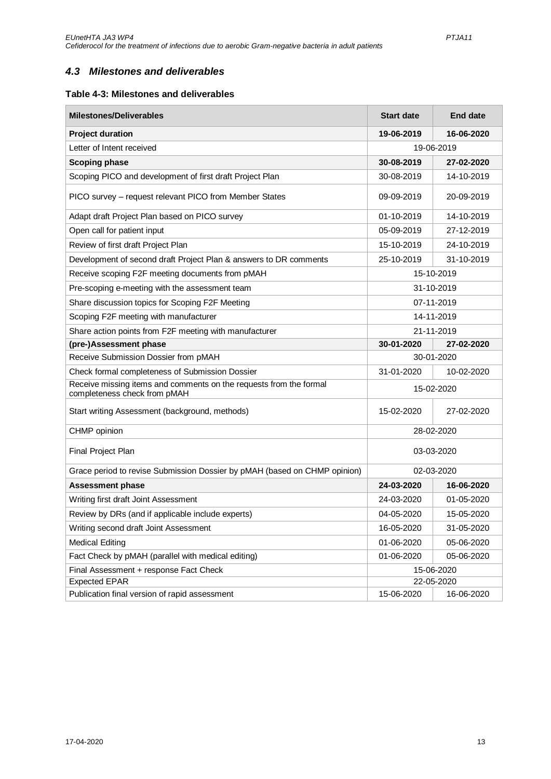### <span id="page-12-0"></span>*4.3 Milestones and deliverables*

#### <span id="page-12-1"></span>**Table 4-3: Milestones and deliverables**

| <b>Milestones/Deliverables</b>                                                                     | <b>Start date</b> | <b>End date</b> |  |
|----------------------------------------------------------------------------------------------------|-------------------|-----------------|--|
| <b>Project duration</b>                                                                            | 19-06-2019        | 16-06-2020      |  |
| Letter of Intent received                                                                          | 19-06-2019        |                 |  |
| <b>Scoping phase</b>                                                                               | 30-08-2019        | 27-02-2020      |  |
| Scoping PICO and development of first draft Project Plan                                           | 30-08-2019        | 14-10-2019      |  |
| PICO survey - request relevant PICO from Member States                                             | 09-09-2019        | 20-09-2019      |  |
| Adapt draft Project Plan based on PICO survey                                                      | 01-10-2019        | 14-10-2019      |  |
| Open call for patient input                                                                        | 05-09-2019        | 27-12-2019      |  |
| Review of first draft Project Plan                                                                 | 15-10-2019        | 24-10-2019      |  |
| Development of second draft Project Plan & answers to DR comments                                  | 25-10-2019        | 31-10-2019      |  |
| Receive scoping F2F meeting documents from pMAH                                                    |                   | 15-10-2019      |  |
| Pre-scoping e-meeting with the assessment team                                                     |                   | 31-10-2019      |  |
| Share discussion topics for Scoping F2F Meeting                                                    |                   | 07-11-2019      |  |
| Scoping F2F meeting with manufacturer                                                              |                   | 14-11-2019      |  |
| Share action points from F2F meeting with manufacturer                                             | 21-11-2019        |                 |  |
| (pre-)Assessment phase                                                                             | 30-01-2020        | 27-02-2020      |  |
| Receive Submission Dossier from pMAH                                                               | 30-01-2020        |                 |  |
| Check formal completeness of Submission Dossier                                                    | 31-01-2020        | 10-02-2020      |  |
| Receive missing items and comments on the requests from the formal<br>completeness check from pMAH | 15-02-2020        |                 |  |
| Start writing Assessment (background, methods)                                                     | 15-02-2020        | 27-02-2020      |  |
| CHMP opinion                                                                                       | 28-02-2020        |                 |  |
| Final Project Plan                                                                                 | 03-03-2020        |                 |  |
| Grace period to revise Submission Dossier by pMAH (based on CHMP opinion)                          | 02-03-2020        |                 |  |
| <b>Assessment phase</b>                                                                            | 24-03-2020        | 16-06-2020      |  |
| Writing first draft Joint Assessment                                                               | 24-03-2020        | 01-05-2020      |  |
| Review by DRs (and if applicable include experts)                                                  | 04-05-2020        | 15-05-2020      |  |
| Writing second draft Joint Assessment                                                              | 16-05-2020        | 31-05-2020      |  |
| <b>Medical Editing</b>                                                                             | 01-06-2020        | 05-06-2020      |  |
| Fact Check by pMAH (parallel with medical editing)                                                 | 01-06-2020        | 05-06-2020      |  |
| Final Assessment + response Fact Check                                                             | 15-06-2020        |                 |  |
| <b>Expected EPAR</b>                                                                               | 22-05-2020        |                 |  |
| Publication final version of rapid assessment                                                      | 15-06-2020        | 16-06-2020      |  |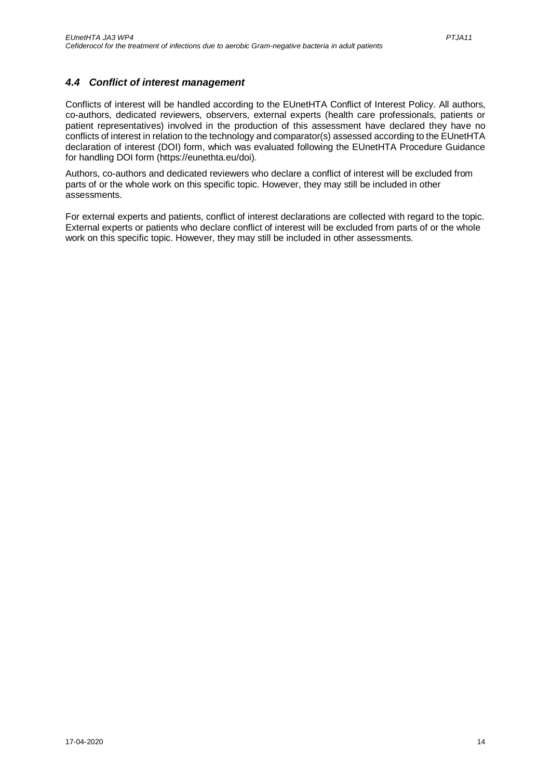### <span id="page-13-0"></span>*4.4 Conflict of interest management*

Conflicts of interest will be handled according to the EUnetHTA Conflict of Interest Policy. All authors, co-authors, dedicated reviewers, observers, external experts (health care professionals, patients or patient representatives) involved in the production of this assessment have declared they have no conflicts of interest in relation to the technology and comparator(s) assessed according to the EUnetHTA declaration of interest (DOI) form, which was evaluated following the EUnetHTA Procedure Guidance for handling DOI form (https://eunethta.eu/doi).

Authors, co-authors and dedicated reviewers who declare a conflict of interest will be excluded from parts of or the whole work on this specific topic. However, they may still be included in other assessments.

For external experts and patients, conflict of interest declarations are collected with regard to the topic. External experts or patients who declare conflict of interest will be excluded from parts of or the whole work on this specific topic. However, they may still be included in other assessments.